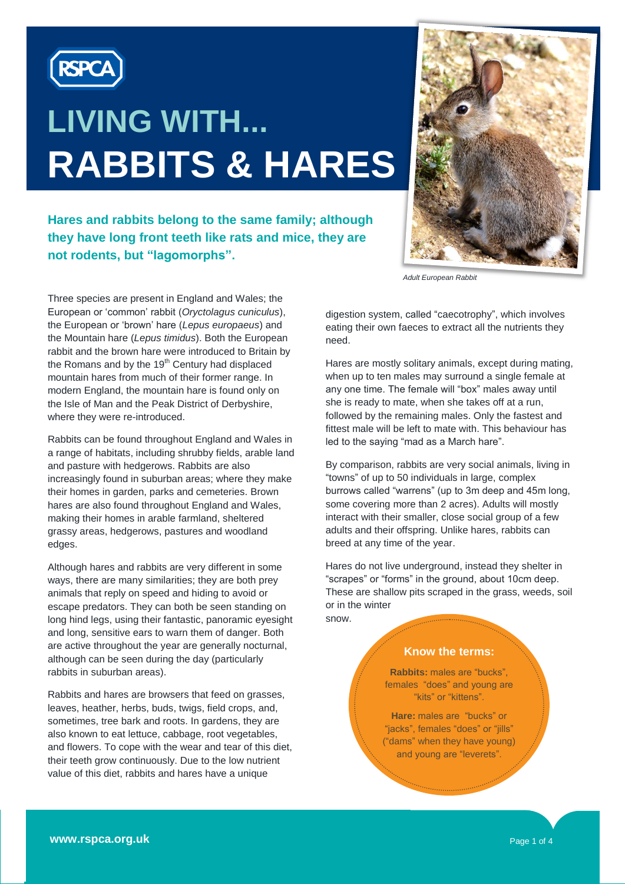

# **LIVING WITH... RABBITS & HARES**

**Hares and rabbits belong to the same family; although**  they have long front teeth like rats and mice, they are **teeth like rats and mice, they are not not rodents, but "lagomorphs".** 



*Adult European Rabbit*

Three species are present in England and Wales; the European or "common" rabbit (*Oryctolagus cuniculus*), the European or "brown" hare (*Lepus europaeus*) and the Mountain hare (*Lepus timidus*). Both the European rabbit and the brown hare were introduced to Britain by the Romans and by the  $19<sup>th</sup>$  Century had displaced mountain hares from much of their former range. In modern England, the mountain hare is found only on the Isle of Man and the Peak District of Derbyshire, where they were re-introduced.

Rabbits can be found throughout England and Wales in a range of habitats, including shrubby fields, arable land and pasture with hedgerows. Rabbits are also increasingly found in suburban areas; where they make their homes in garden, parks and cemeteries. Brown hares are also found throughout England and Wales, making their homes in arable farmland, sheltered grassy areas, hedgerows, pastures and woodland edges.

Although hares and rabbits are very different in some ways, there are many similarities; they are both prey animals that reply on speed and hiding to avoid or escape predators. They can both be seen standing on long hind legs, using their fantastic, panoramic eyesight and long, sensitive ears to warn them of danger. Both are active throughout the year are generally nocturnal, although can be seen during the day (particularly rabbits in suburban areas).

Rabbits and hares are browsers that feed on grasses, leaves, heather, herbs, buds, twigs, field crops, and, sometimes, tree bark and roots. In gardens, they are also known to eat lettuce, cabbage, root vegetables, and flowers. To cope with the wear and tear of this diet, their teeth grow continuously. Due to the low nutrient value of this diet, rabbits and hares have a unique

digestion system, called "caecotrophy", which involves eating their own faeces to extract all the nutrients they need.

Hares are mostly solitary animals, except during mating, when up to ten males may surround a single female at any one time. The female will "box" males away until she is ready to mate, when she takes off at a run, followed by the remaining males. Only the fastest and fittest male will be left to mate with. This behaviour has led to the saying "mad as a March hare".

By comparison, rabbits are very social animals, living in "towns" of up to 50 individuals in large, complex burrows called "warrens" (up to 3m deep and 45m long, some covering more than 2 acres). Adults will mostly interact with their smaller, close social group of a few adults and their offspring. Unlike hares, rabbits can breed at any time of the year.

Hares do not live underground, instead they shelter in "scrapes" or "forms" in the ground, about 10cm deep. These are shallow pits scraped in the grass, weeds, soil or in the winter snow.

#### **Know the terms:**

**Rabbits:** males are "bucks", females "does" and young are "kits" or "kittens".

**Hare:** males are "bucks" or "jacks", females "does" or "jills" ("dams" when they have young) and young are "leverets".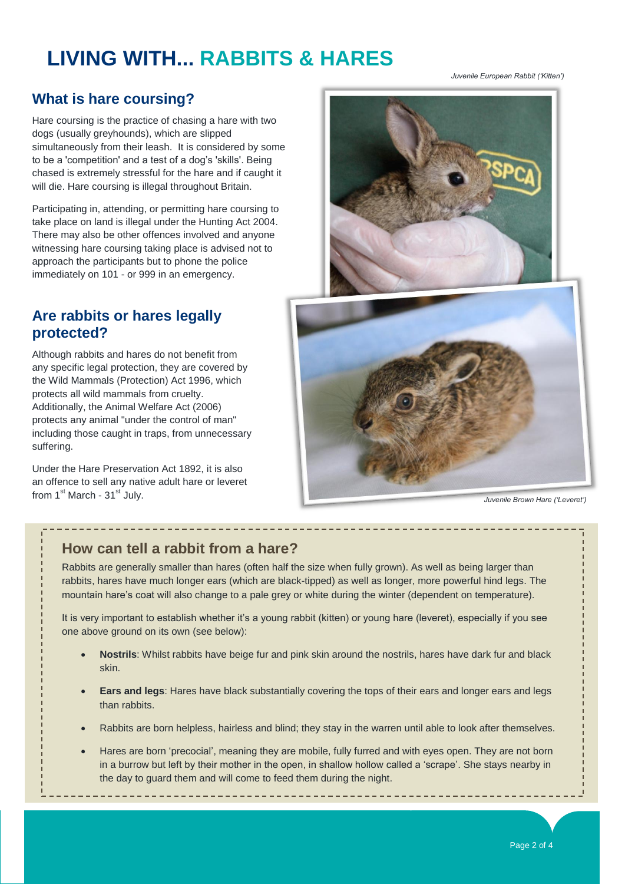# **LIVING WITH... RABBITS & HARES**

*Juvenile European Rabbit ('Kitten')*

# **What is hare coursing?**

Hare coursing is the practice of chasing a hare with two dogs (usually greyhounds), which are slipped simultaneously from their leash. It is considered by some to be a 'competition' and a test of a dog"s 'skills'. Being chased is extremely stressful for the hare and if caught it will die. Hare coursing is illegal throughout Britain.

Participating in, attending, or permitting hare coursing to take place on land is illegal under the Hunting Act 2004. There may also be other offences involved and anyone witnessing hare coursing taking place is advised not to approach the participants but to phone the police immediately on 101 - or 999 in an emergency.

### **Are rabbits or hares legally protected?**

Although rabbits and hares do not benefit from any specific legal protection, they are covered by the Wild Mammals (Protection) Act 1996, which protects all wild mammals from cruelty. Additionally, the Animal Welfare Act (2006) protects any animal "under the control of man" including those caught in traps, from unnecessary suffering.

Under the Hare Preservation Act 1892, it is also an offence to sell any native adult hare or leveret from 1<sup>st</sup> March - 31<sup>st</sup> July.



*Juvenile Brown Hare ('Leveret')*

#### **How can tell a rabbit from a hare?**

Rabbits are generally smaller than hares (often half the size when fully grown). As well as being larger than rabbits, hares have much longer ears (which are black-tipped) as well as longer, more powerful hind legs. The mountain hare"s coat will also change to a pale grey or white during the winter (dependent on temperature).

----------

It is very important to establish whether it's a young rabbit (kitten) or young hare (leveret), especially if you see one above ground on its own (see below):

- **Nostrils**: Whilst rabbits have beige fur and pink skin around the nostrils, hares have dark fur and black skin.
- **Ears and legs**: Hares have black substantially covering the tops of their ears and longer ears and legs than rabbits.
- Rabbits are born helpless, hairless and blind; they stay in the warren until able to look after themselves.
- Hares are born 'precocial', meaning they are mobile, fully furred and with eyes open. They are not born in a burrow but left by their mother in the open, in shallow hollow called a "scrape". She stays nearby in the day to guard them and will come to feed them during the night.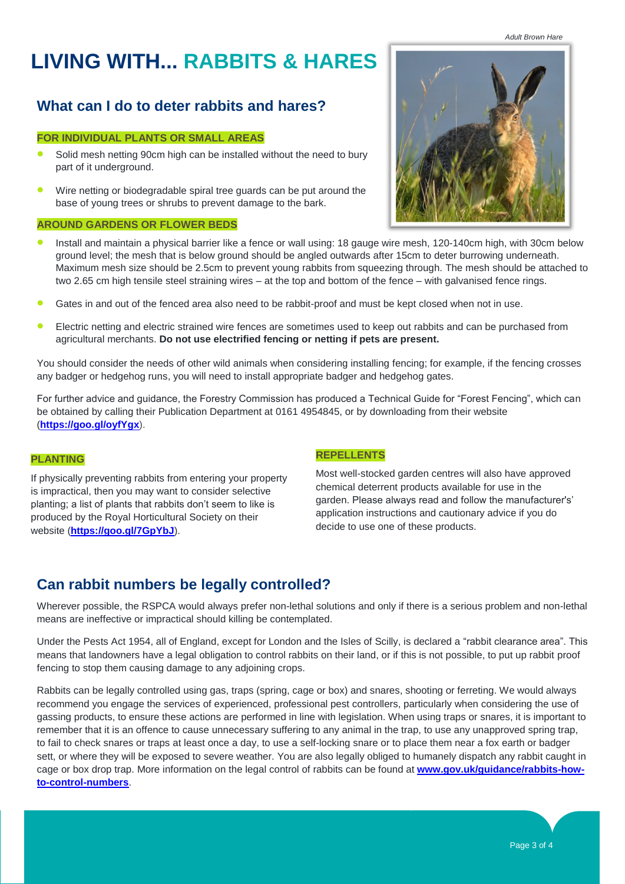*Adult Brown Hare*

# **LIVING WITH... RABBITS & HARES**

# **What can I do to deter rabbits and hares?**

#### **FOR INDIVIDUAL PLANTS OR SMALL AREAS**

- Solid mesh netting 90cm high can be installed without the need to bury part of it underground.
- Wire netting or biodegradable spiral tree guards can be put around the base of young trees or shrubs to prevent damage to the bark.

#### **AROUND GARDENS OR FLOWER BEDS**

- Install and maintain a physical barrier like a fence or wall using: 18 gauge wire mesh, 120-140cm high, with 30cm below ground level; the mesh that is below ground should be angled outwards after 15cm to deter burrowing underneath. Maximum mesh size should be 2.5cm to prevent young rabbits from squeezing through. The mesh should be attached to two 2.65 cm high tensile steel straining wires – at the top and bottom of the fence – with galvanised fence rings.
- Gates in and out of the fenced area also need to be rabbit-proof and must be kept closed when not in use.
- Electric netting and electric strained wire fences are sometimes used to keep out rabbits and can be purchased from agricultural merchants. **Do not use electrified fencing or netting if pets are present.**

You should consider the needs of other wild animals when considering installing fencing; for example, if the fencing crosses any badger or hedgehog runs, you will need to install appropriate badger and hedgehog gates.

For further advice and guidance, the Forestry Commission has produced a Technical Guide for "Forest Fencing", which can be obtained by calling their Publication Department at 0161 4954845, or by downloading from their website (**<https://goo.gl/oyfYgx>**).

#### **PLANTING**

If physically preventing rabbits from entering your property is impractical, then you may want to consider selective planting; a list of plants that rabbits don"t seem to like is produced by the Royal Horticultural Society on their website (**<https://goo.gl/7GpYbJ>**).

#### **REPELLENTS**

Most well-stocked garden centres will also have approved chemical deterrent products available for use in the garden. Please always read and follow the manufacturer's" application instructions and cautionary advice if you do decide to use one of these products.

# **Can rabbit numbers be legally controlled?**

Wherever possible, the RSPCA would always prefer non-lethal solutions and only if there is a serious problem and non-lethal means are ineffective or impractical should killing be contemplated.

Under the Pests Act 1954, all of England, except for London and the Isles of Scilly, is declared a "rabbit clearance area". This means that landowners have a legal obligation to control rabbits on their land, or if this is not possible, to put up rabbit proof fencing to stop them causing damage to any adjoining crops.

Rabbits can be legally controlled using gas, traps (spring, cage or box) and snares, shooting or ferreting. We would always recommend you engage the services of experienced, professional pest controllers, particularly when considering the use of gassing products, to ensure these actions are performed in line with legislation. When using traps or snares, it is important to remember that it is an offence to cause unnecessary suffering to any animal in the trap, to use any unapproved spring trap, to fail to check snares or traps at least once a day, to use a self-locking snare or to place them near a fox earth or badger sett, or where they will be exposed to severe weather. You are also legally obliged to humanely dispatch any rabbit caught in cage or box drop trap. More information on the legal control of rabbits can be found at **[www.gov.uk/guidance/rabbits-how](http://www.gov.uk/guidance/rabbits-how-to-control-numbers)[to-control-numbers](http://www.gov.uk/guidance/rabbits-how-to-control-numbers)**.